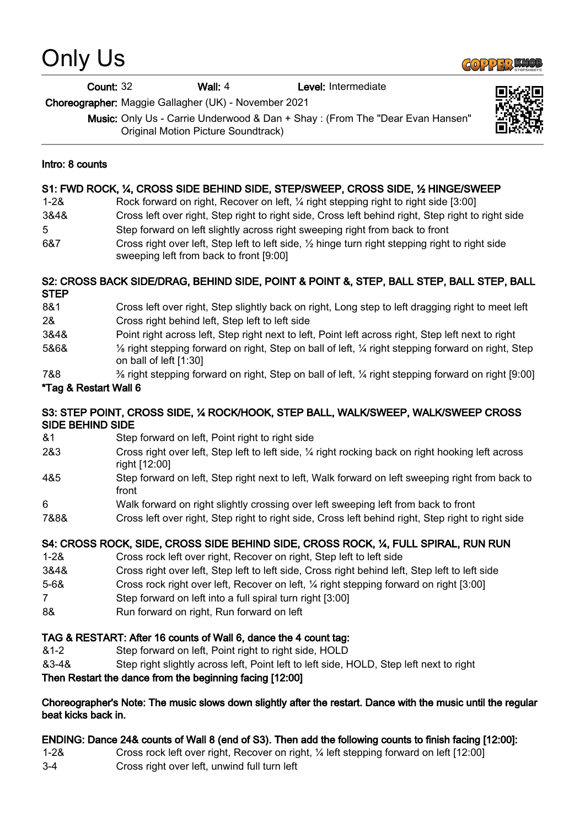# Only Us



Count: 32 Wall: 4 Level: Intermediate

Choreographer: Maggie Gallagher (UK) - November 2021

Music: Only Us - Carrie Underwood & Dan + Shay : (From The "Dear Evan Hansen" Original Motion Picture Soundtrack)



#### Intro: 8 counts

#### S1: FWD ROCK, ¼, CROSS SIDE BEHIND SIDE, STEP/SWEEP, CROSS SIDE, ½ HINGE/SWEEP

| $1 - 28$ | Rock forward on right, Recover on left, 1/4 right stepping right to right side [3:00]                  |
|----------|--------------------------------------------------------------------------------------------------------|
| 3&4&     | Cross left over right, Step right to right side, Cross left behind right, Step right to right side     |
| 5        | Step forward on left slightly across right sweeping right from back to front                           |
| 007      | Ossaa sialah arras laft. Ohan laft ha laft aida. 17 lainna husa sialah ahanaina sialah ha sialah aida. |

6&7 Cross right over left, Step left to left side,  $\frac{1}{2}$  hinge turn right stepping right to right side sweeping left from back to front [9:00]

### S2: CROSS BACK SIDE/DRAG, BEHIND SIDE, POINT & POINT &, STEP, BALL STEP, BALL STEP, BALL STEP

- 8&1 Cross left over right, Step slightly back on right, Long step to left dragging right to meet left 2& Cross right behind left, Step left to left side
- 3&4& Point right across left, Step right next to left, Point left across right, Step left next to right
- 5&6& ⅛ right stepping forward on right, Step on ball of left, ¼ right stepping forward on right, Step on ball of left [1:30]
- 7&8 ⅜ right stepping forward on right, Step on ball of left, ¼ right stepping forward on right [9:00]

## \*Tag & Restart Wall 6

#### S3: STEP POINT, CROSS SIDE, ¼ ROCK/HOOK, STEP BALL, WALK/SWEEP, WALK/SWEEP CROSS SIDE BEHIND SIDE

- &1 Step forward on left, Point right to right side
- 2&3 Cross right over left, Step left to left side, ¼ right rocking back on right hooking left across right [12:00]
- 4&5 Step forward on left, Step right next to left, Walk forward on left sweeping right from back to front
- 6 Walk forward on right slightly crossing over left sweeping left from back to front
- 7&8& Cross left over right, Step right to right side, Cross left behind right, Step right to right side

# S4: CROSS ROCK, SIDE, CROSS SIDE BEHIND SIDE, CROSS ROCK, ¼, FULL SPIRAL, RUN RUN

- 1-2& Cross rock left over right, Recover on right, Step left to left side
- 3&4& Cross right over left, Step left to left side, Cross right behind left, Step left to left side
- 5-6& Cross rock right over left, Recover on left, ¼ right stepping forward on right [3:00]
- 7 Step forward on left into a full spiral turn right [3:00]
- 8& Run forward on right, Run forward on left

# TAG & RESTART: After 16 counts of Wall 6, dance the 4 count tag:

- &1-2 Step forward on left, Point right to right side, HOLD
- &3-4& Step right slightly across left, Point left to left side, HOLD, Step left next to right

# Then Restart the dance from the beginning facing [12:00]

#### Choreographer's Note: The music slows down slightly after the restart. Dance with the music until the regular beat kicks back in.

# ENDING: Dance 24& counts of Wall 8 (end of S3). Then add the following counts to finish facing [12:00]:

- 1-2& Cross rock left over right, Recover on right, ¼ left stepping forward on left [12:00]
- 3-4 Cross right over left, unwind full turn left